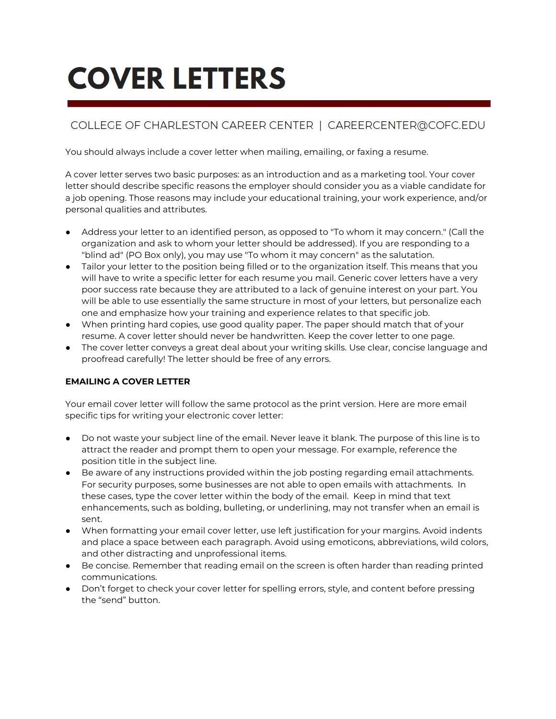# **COVER LETTERS**

# COLLEGE OF CHARLESTON CAREER CENTER | CAREERCENTER@COFC.EDU

You should always include a cover letter when mailing, emailing, or faxing a resume.

A cover letter serves two basic purposes: as an introduction and as a marketing tool. Your cover letter should describe specific reasons the employer should consider you as a viable candidate for a job opening. Those reasons may include your educational training, your work experience, and/or personal qualities and attributes.

- Address your letter to an identified person, as opposed to "To whom it may concern." (Call the organization and ask to whom your letter should be addressed). If you are responding to a "blind ad" (PO Box only), you may use "To whom it may concern" as the salutation.
- Tailor your letter to the position being filled or to the organization itself. This means that you will have to write a specific letter for each resume you mail. Generic cover letters have a very poor success rate because they are attributed to a lack of genuine interest on your part. You will be able to use essentially the same structure in most of your letters, but personalize each one and emphasize how your training and experience relates to that specific job.
- When printing hard copies, use good quality paper. The paper should match that of your resume. A cover letter should never be handwritten. Keep the cover letter to one page.
- The cover letter conveys a great deal about your writing skills. Use clear, concise language and proofread carefully! The letter should be free of any errors.

# **EMAILING A COVER LETTER**

Your email cover letter will follow the same protocol as the print version. Here are more email specific tips for writing your electronic cover letter:

- Do not waste your subject line of the email. Never leave it blank. The purpose of this line is to attract the reader and prompt them to open your message. For example, reference the position title in the subject line.
- Be aware of any instructions provided within the job posting regarding email attachments. For security purposes, some businesses are not able to open emails with attachments. In these cases, type the cover letter within the body of the email. Keep in mind that text enhancements, such as bolding, bulleting, or underlining, may not transfer when an email is sent.
- When formatting your email cover letter, use left justification for your margins. Avoid indents and place a space between each paragraph. Avoid using emoticons, abbreviations, wild colors, and other distracting and unprofessional items.
- Be concise. Remember that reading email on the screen is often harder than reading printed communications.
- Don't forget to check your cover letter for spelling errors, style, and content before pressing the "send" button.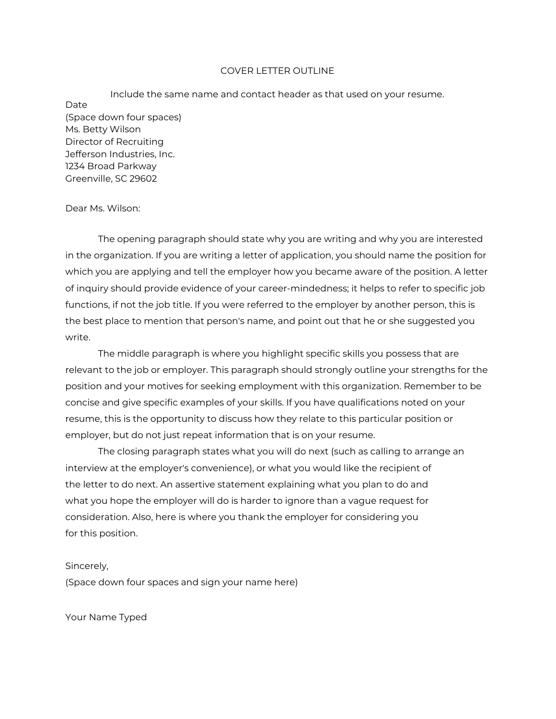#### COVER LETTER OUTLINE

Include the same name and contact header as that used on your resume. Date (Space down four spaces) Ms. Betty Wilson Director of Recruiting Jefferson Industries, Inc. 1234 Broad Parkway Greenville, SC 29602

#### Dear Ms. Wilson:

The opening paragraph should state why you are writing and why you are interested in the organization. If you are writing a letter of application, you should name the position for which you are applying and tell the employer how you became aware of the position. A letter of inquiry should provide evidence of your career-mindedness; it helps to refer to specific job functions, if not the job title. If you were referred to the employer by another person, this is the best place to mention that person's name, and point out that he or she suggested you write.

The middle paragraph is where you highlight specific skills you possess that are relevant to the job or employer. This paragraph should strongly outline your strengths for the position and your motives for seeking employment with this organization. Remember to be concise and give specific examples of your skills. If you have qualifications noted on your resume, this is the opportunity to discuss how they relate to this particular position or employer, but do not just repeat information that is on your resume.

The closing paragraph states what you will do next (such as calling to arrange an interview at the employer's convenience), or what you would like the recipient of the letter to do next. An assertive statement explaining what you plan to do and what you hope the employer will do is harder to ignore than a vague request for consideration. Also, here is where you thank the employer for considering you for this position.

#### Sincerely,

(Space down four spaces and sign your name here)

Your Name Typed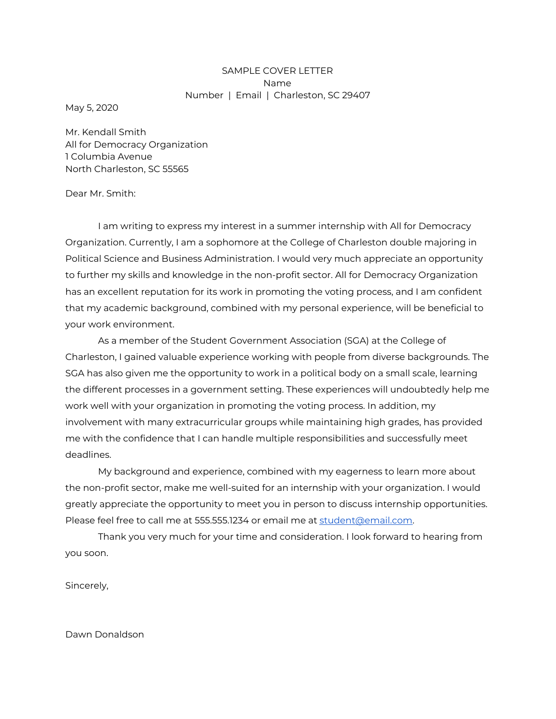## SAMPLE COVER LETTER Name Number | Email | Charleston, SC 29407

May 5, 2020

Mr. Kendall Smith All for Democracy Organization 1 Columbia Avenue North Charleston, SC 55565

#### Dear Mr. Smith:

I am writing to express my interest in a summer internship with All for Democracy Organization. Currently, I am a sophomore at the College of Charleston double majoring in Political Science and Business Administration. I would very much appreciate an opportunity to further my skills and knowledge in the non-profit sector. All for Democracy Organization has an excellent reputation for its work in promoting the voting process, and I am confident that my academic background, combined with my personal experience, will be beneficial to your work environment.

As a member of the Student Government Association (SGA) at the College of Charleston, I gained valuable experience working with people from diverse backgrounds. The SGA has also given me the opportunity to work in a political body on a small scale, learning the different processes in a government setting. These experiences will undoubtedly help me work well with your organization in promoting the voting process. In addition, my involvement with many extracurricular groups while maintaining high grades, has provided me with the confidence that I can handle multiple responsibilities and successfully meet deadlines.

My background and experience, combined with my eagerness to learn more about the non-profit sector, make me well-suited for an internship with your organization. I would greatly appreciate the opportunity to meet you in person to discuss internship opportunities. Please feel free to call me at 555.555.1234 or email me at [student@email.com](mailto:student@email.com).

Thank you very much for your time and consideration. I look forward to hearing from you soon.

Sincerely,

Dawn Donaldson